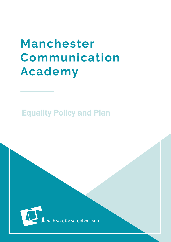# **Manchester** Communication **Academy**

## Equality Policy and Plan

MCA is the contribution of the contribution  $\mathcal{E}_{\mathcal{A}}$  is the contribution of the contribution of the contribution of the contribution of the contribution of the contribution of the contribution of the contribution of

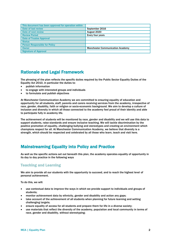| This document has been approved for operation within |                                         |
|------------------------------------------------------|-----------------------------------------|
| Date of last review                                  | September 2016                          |
| Date of next review                                  | August 2020                             |
| <b>Review Period</b>                                 | Every four years                        |
| <b>Date of Trustee Approval</b>                      |                                         |
| <b>Status</b>                                        |                                         |
| <b>Person Responsible for Policy</b>                 |                                         |
| <b>Owner</b>                                         | <b>Manchester Communication Academy</b> |
| <b>Signature of Approval</b>                         |                                         |

## Rationale and Legal Framework

The phrasing of the plan reflects the specific duties required by the Public Sector Equality Duties of the Equality Act 2010, in particular the duties to:

- publish information
- to engage with interested groups and individuals
- to formulate and publish objectives

At Manchester Communication Academy we are committed to ensuring equality of education and opportunity for all students, staff, parents and carers receiving services from the academy, irrespective of race, gender, disability, faith or religion or socio-economic background. We aim to develop a culture of inclusion and diversity in which all those connected to the academy feel proud of their identity and able to participate fully in academy life.

The achievement of students will be monitored by race, gender and disability and we will use this data to support students, raise standards and ensure inclusive teaching. We will tackle discrimination by the positive promotion of equality, challenging bullying and stereotypes and creating an environment which champions respect for all. At Manchester Communication Academy, we believe that diversity is a strength, which should be respected and celebrated by all those who learn, teach and visit here.

## Mainstreaming Equality into Policy and Practice

As well as the specific actions set out beneath this plan, the academy operates equality of opportunity in its day to day practice in the following ways

## Teaching and Learning

We aim to provide all our students with the opportunity to succeed, and to reach the highest level of personal achievement.

To do this, we will:

- use contextual data to improve the ways in which we provide support to individuals and groups of students;
- monitor achievement data by ethnicity, gender and disability and action any gaps;
- take account of the achievement of all students when planning for future learning and setting challenging targets;
- ensure equality of access for all students and prepare them for life in a diverse society;
- use materials that reflect the diversity of the academy, population and local community in terms of race, gender and disability, without stereotyping;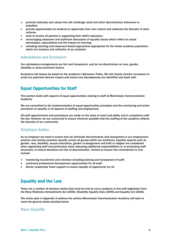- promote attitudes and values that will challenge racist and other discriminatory behaviour or prejudice;
- provide opportunities for students to appreciate their own culture and celebrate the diversity of other cultures;
- seek to involve all parents in supporting their child's education;
- encouraging classroom and staffroom discussion of equality issues which reflect on social stereotypes, expectations and the impact on learning;
- including teaching and classroom-based approaches appropriate for the whole academy population, which are inclusive and reflective of our students.

### Admissions and Exclusion

Our admissions arrangements are fair and transparent, and do not discriminate on race, gender, disability or socio-economic factors.

Exclusions will always be based on the academy's Behaviour Policy. We will closely monitor exclusions to avoid any potential adverse impact and ensure any discrepancies are identified and dealt with.

## Equal Opportunities for Staff

This section deals with aspects of equal opportunities relating to staff at Manchester Communication Academy

We are committed to the implementation of equal opportunities principles and the monitoring and active promotion of equality in all aspects of staffing and employment.

All staff appointments and promotions are made on the basis of merit and ability and in compliance with the law. However we are concerned to ensure wherever possible that the staffing of the academy reflects the diversity of our community.

## Employer duties

As an employer we need to ensure that we eliminate discrimination and harassment in our employment practice and actively promote equality across all groups within our workforce. Equality aspects such as gender, race, disability, sexual orientation, gender re-assignment and faith or religion are considered when appointing staff and particularly when allocating additional responsibilities or re-evaluating staff structures, to ensure decisions are free of discrimination. Actions to ensure this commitment is met include:

- monitoring recruitment and retention including bullying and harassment of staff;
- continued professional development opportunities for all staff;
- Senior Leadership Team support to ensure equality of opportunity for all.

## Equality and the Law

There are a number of statutory duties that must be met by every academy in line with legislation from the Race Relations (Amendment) Act (2000), Disability Equality Duty (2005) and Equality Act (2006).

The action plan in Appendix A outlines the actions Manchester Communication Academy will take to meet the general duties detailed below.

#### Race Equality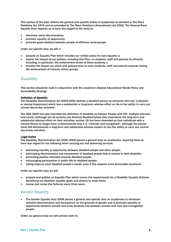This section of the plan reflects the general and specific duties of academies as detailed in The Race Relations Act 1976 and as amended by The Race Relations (Amendment) Act 2000. The General Race Equality Duty requires us to have due regard to the need to:

- eliminate racial discrimination;
- promote equality of opportunity;
- promote good relations between people of different racial groups.

Under our specific duty we will: o

- prepare an Equality Plan which includes our written policy for race equality; o
- assess the impact of our policies, including this Plan, on students, staff and parents by ethnicity including, in particular, the achievement levels of these students; o
- monitor the impact our plans and policies have on such students, staff and parents towards raising the achievement of minority ethnic groups.

#### **Disability**

This section should be read in conjunction with the academy's Special Educational Needs Policy and Accessibility Strategy.

#### Definition of disability

The Disability Discrimination Act 2005 (DDA) defines a disabled person as someone who has 'a physical or mental impairment which has a substantial or long-term adverse effect on his or her ability to carry out normal day-to-day activities'.

The DDA 2005 has also extended the definition of disability as follows: People with HIV, multiple sclerosis and cancer (although not all cancers) are deemed disabled before they experience the long-term and substantial adverse effect on their activities; section 18 has been amended so that individuals with a mental illness no longer have to demonstrate that it is "clinically well-recognised", although the person must still demonstrate a long-term and substantial adverse impact on his/her ability to carry out normal day-to-day activities.

#### Legal Duties

The Disability Discrimination Act (DDA) 2005 placed a general duty on academies, requiring them to have due regard for the following when carrying out and delivering services:

- promoting equality of opportunity between disabled people and other people;
- eliminating discrimination and harassment of disabled people that is related to their disability;
- promoting positive attitudes towards disabled people;
- encouraging participation in public life by disabled people;
- taking steps to meet disabled people's needs, even if this requires more favourable treatment.

Under our specific duty we will:

- prepare and publish an Equality Plan which covers the requirements for a Disability Equality Scheme identifying our disability equality goals and actions to meet them;
- review and revise this Scheme every three years.

#### Gender Equality

 The Gender Equality Duty 2006 places a general and specific duty on academies to eliminate unlawful discrimination and harassment on the grounds of gender and to promote equality of opportunity between female and male students and between women and men and transgender people.

Under our general duty we will actively seek to: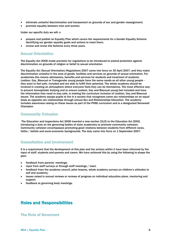- eliminate unlawful discrimination and harassment on grounds of sex and gender reassignment;
- promote equality between men and women.

Under our specific duty we will: o

- prepare and publish an Equality Plan which covers the requirements for a Gender Equality Scheme identifying our gender equality goals and actions to meet them;
- review and revise this Scheme every three years.

## Sexual Orientation

The Equality Act 2006 made provision for regulations to be introduced to extend protection against discrimination on grounds of religion or belief to sexual orientation.

The Equality Act (Sexual Orientation) Regulations 2007 came into force on 30 April 2007, and they make discrimination unlawful in the area of goods, facilities and services on grounds of sexual orientation. For academies this means admissions, benefits and services for students and treatment of students. Lesbian, Gay ,Bisexual or Transgender young people have the same needs as all other young people they want to feel safe, included and are able to fulfill their potential. The whole academy should be involved in creating an atmosphere where everyone feels they can be themselves. The most effective way to prevent homophobic bullying and to ensure Lesbian, Gay and Bisexual young feel included and have the information they need to stay safe, is making the curriculum inclusive of Lesbian, Gay and Bisexual issues. The academy equips pupils to live in a society that recognises same sex relationships on an equal basis as opposite sex relationships through annual Sex and Relationships Education. The academy includes awareness raising on these issues as part of the PHSE curriculum and is a designated Stonewall Champion

#### Community Cohesion

The Education and Inspections Act 2006 inserted a new section 21(5) to the Education Act 2002, introducing a duty on the governing bodies of state academies to promote community cohesion. Community cohesion encompasses promoting good relations between students from different races, faiths / beliefs and socio-economic backgrounds. The duty came into force on 1 September 2007.

#### Consultation and Involvement

It is a requirement that the development of this plan and the actions within it have been informed by the input of staff, students and parents and carers. We have achieved this by using the following to shape the plan:

- feedback from parents' meetings;
- input from staff surveys or through staff meetings / inset;
- feedback from the academy council, pshe lessons, whole academy surveys on children's attitudes to self and academy;
- issues raised in annual reviews or reviews of progress on individual education plans, mentoring and support;
- feedback at governing body meetings.

## Roles and Responsibilities

### The Role of Governors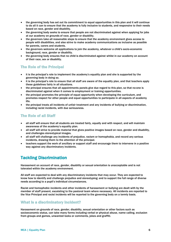- the governing body has set out its commitment to equal opportunities in this plan and it will continue to do all it can to ensure that the academy is fully inclusive to students, and responsive to their needs based on race, gender and disability.
- the governing body seeks to ensure that people are not discriminated against when applying for jobs at our academy on grounds of race, gender or disability.
- the governors take all reasonable steps to ensure that the academy environment gives access to people with disabilities, and also strive to make academy communications as inclusive as possible for parents, carers and students.
- the governors welcome all applications to join the academy, whatever a child's socio-economic background, race, gender or disability.
- the governing body ensures that no child is discriminated against whilst in our academy on account of their race, sex or disability.

## The Role of the Principal

- it is the principal's role to implement the academy's equality plan and she is supported by the governing body in doing so.
- it is the principal's role to ensure that all staff are aware of the equality plan, and that teachers apply these guidelines fairly in all situations.
- the principal ensures that all appointments panels give due regard to this plan, so that no-one is discriminated against when it comes to employment or training opportunities.
- the principal promotes the principle of equal opportunity when developing the curriculum, and promotes respect for other people and equal opportunities to participate in all aspects of academy life.
- the principal treats all incidents of unfair treatment and any incidents of bullying or discrimination, including racist incidents, with due seriousness.

## The Role of all Staff

- all staff will ensure that all students are treated fairly, equally and with respect, and will maintain awareness of the academy's equality plan.
- all staff will strive to provide material that gives positive images based on race, gender and disability, and challenges stereotypical images.
- all staff will challenge any incidents of prejudice, racism or homophobia, and record any serious incidents, drawing them to the attention of the principal.
- teachers support the work of ancillary or support staff and encourage them to intervene in a positive way against any discriminatory incidents.

## Tackling Discrimination

Harassment on account of race, gender, disability or sexual orientation is unacceptable and is not tolerated within the academy environment.

All staff are expected to deal with any discriminatory incidents that may occur. They are expected to know how to identify and challenge prejudice and stereotyping; and to support the full range of diverse needs according to a pupil's individual circumstances.

Racist and homophobic incidents and other incidents of harassment or bullying are dealt with by the member of staff present, escalating to the pastoral team where necessary. All incidents are reported to the Vice Principal and racist incidents will be reported to the governing body on a termly basis.

## What is a discriminatory incident?

Harassment on grounds of race, gender, disability, sexual orientation or other factors such as socioeconomic status, can take many forms including verbal or physical abuse, name calling, exclusion from groups and games, unwanted looks or comments, jokes and graffiti.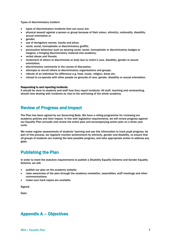Types of discriminatory incident

- types of discriminatory incidents that can occur are:
- physical assault against a person or group because of their colour, ethnicity, nationality, disability, sexual orientation or
- gender;
- use of derogatory names, insults and jokes;
- racist, sexist, homophobic or discriminatory graffiti;
- provocative behaviour such as wearing racist, sexist, homophobic or discriminatory badges or insignia; o bringing discriminatory material into academy;
- verbal abuse and threats;
- incitement of others to discriminate or bully due to victim's race, disability, gender or sexual orientation;
- discriminatory comments in the course of discussion;
- attempts to recruit others to discriminatory organisations and groups;
- ridicule of an individual for difference e.g. food, music, religion, dress etc;
- refusal to co-operate with other people on grounds of race, gender, disability or sexual orientation.

#### Responding to and reporting incidents

It should be clear to students and staff how they report incidents. All staff, teaching and nonteaching, should view dealing with incidents as vital to the well-being of the whole academy.

## Review of Progress and Impact

The Plan has been agreed by our Governing Body. We have a rolling programme for reviewing our academy policies and their impact. In line with legislative requirements, we will review progress against our Equality Plan annually and review the entire plan and accompanying action plan on a three year cycle.

We make regular assessments of students' learning and use this information to track pupil progress. As part of this process, we regularly monitor achievement by ethnicity, gender and disability, to ensure that all groups of students are making the best possible progress, and take appropriate action to address any gaps.

## Publishing the Plan

In order to meet the statutory requirements to publish a Disability Equality Scheme and Gender Equality Scheme, we will:

- publish our plan on the academy website;
- raise awareness of the plan through the academy newsletter, assemblies, staff meetings and other communications;
- make sure hard copies are available.

Signed:

Date:

## Appendix A – Objectives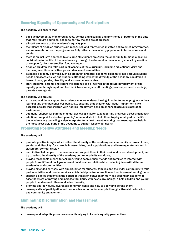## Ensuring Equality of Opportunity and Participation

The academy will ensure that:

- pupil achievement is monitored by race, gender and disability and any trends or patterns in the data that may require additional action to narrow the gap are addressed;
- all staff are aware of the academy's equality plan;
- the talents of disabled students are recognised and represented in gifted and talented programmes, and representation on the programmes fully reflects the academy population in terms of race and gender;
- there is an inclusive approach to ensuring all students are given the opportunity to make a positive contribution to the life of the academy e.g. through involvement in the academy council by election or co-option); class assemblies; fund raising etc;
- disabled children can take part in all aspects of the curriculum, including educational visits and journeys; lunchtime activities; pe and dance and assemblies;
- extended academy activities such as breakfast and after-academy clubs take into account student needs and access issues and students attending reflect the diversity of the academy population in terms of race, gender, disability and socio-economic status;
- staff, students, parents and carers will continue to be involved in the future development of the equality plan through input and feedback from surveys, staff meetings, academy council meetings, parents evenings etc.

The academy will provide:

- extra and additional support for students who are under-achieving, in order to make progress in their learning and their personal well being, e.g. ensuring that children with visual impairment have accessible texts; that children with hearing impairment have an enhanced acoustic classroom environment;
- additional support for parents of under-achieving children (e.g. reporting progress; discussing needs);
- additional support for disabled parents/carers and staff to help them to play a full part in the life of the academy (e.g. providing a sign interpreter for a deaf parent; ensuring that meetings are held in the most accessible parts of the academy to support wheelchair users)

#### Promoting Positive Attitudes and Meeting Needs

The academy will:

- promote positive images which reflect the diversity of the academy and community in terms of race, gender and disability, for example in assemblies, books, publications and learning materials and in classroom/corridor display.
- recruit disabled people to the academy and support them in their work and career development, and try to reflect the diversity of the academy community in its workforce;
- provide reasonable means for children, young people, their friends and families to interact with people from different backgrounds and build positive relationships, including links with different academies and communities;
- provide extended services, with opportunities for students, families and the wider community to take part in activities and receive services which build positive interaction and achievement for all groups;
- support disabled students in the period of transition between primary and secondary academy to ease the stress of moving and increase familiarity with new surroundings; o help children and young people to understand others and value diversity;
- promote shared values, awareness of human rights and how to apply and defend them;
- develop skills of participation and responsible action for example through citizenship education and community engagement.

## Eliminating Discrimination and Harassment

The academy will:

develop and adapt its procedures on anti-bullying to include equality perspectives;